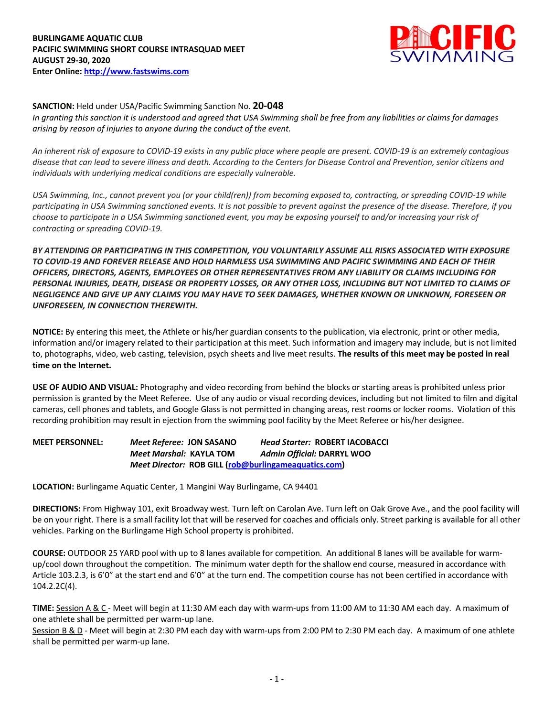

### **SANCTION:** Held under USA/Pacific Swimming Sanction No. **20-048**

*In granting this sanction it is understood and agreed that USA Swimming shall be free from any liabilities or claims for damages arising by reason of injuries to anyone during the conduct of the event.* 

*An inherent risk of exposure to COVID-19 exists in any public place where people are present. COVID-19 is an extremely contagious disease that can lead to severe illness and death. According to the Centers for Disease Control and Prevention, senior citizens and individuals with underlying medical conditions are especially vulnerable.*

*USA Swimming, Inc., cannot prevent you (or your child(ren)) from becoming exposed to, contracting, or spreading COVID-19 while participating in USA Swimming sanctioned events. It is not possible to prevent against the presence of the disease. Therefore, if you choose to participate in a USA Swimming sanctioned event, you may be exposing yourself to and/or increasing your risk of contracting or spreading COVID-19.*

*BY ATTENDING OR PARTICIPATING IN THIS COMPETITION, YOU VOLUNTARILY ASSUME ALL RISKS ASSOCIATED WITH EXPOSURE TO COVID-19 AND FOREVER RELEASE AND HOLD HARMLESS USA SWIMMING AND PACIFIC SWIMMING AND EACH OF THEIR OFFICERS, DIRECTORS, AGENTS, EMPLOYEES OR OTHER REPRESENTATIVES FROM ANY LIABILITY OR CLAIMS INCLUDING FOR PERSONAL INJURIES, DEATH, DISEASE OR PROPERTY LOSSES, OR ANY OTHER LOSS, INCLUDING BUT NOT LIMITED TO CLAIMS OF NEGLIGENCE AND GIVE UP ANY CLAIMS YOU MAY HAVE TO SEEK DAMAGES, WHETHER KNOWN OR UNKNOWN, FORESEEN OR UNFORESEEN, IN CONNECTION THEREWITH.*

**NOTICE:** By entering this meet, the Athlete or his/her guardian consents to the publication, via electronic, print or other media, information and/or imagery related to their participation at this meet. Such information and imagery may include, but is not limited to, photographs, video, web casting, television, psych sheets and live meet results. **The results of this meet may be posted in real time on the Internet.**

**USE OF AUDIO AND VISUAL:** Photography and video recording from behind the blocks or starting areas is prohibited unless prior permission is granted by the Meet Referee. Use of any audio or visual recording devices, including but not limited to film and digital cameras, cell phones and tablets, and Google Glass is not permitted in changing areas, rest rooms or locker rooms. Violation of this recording prohibition may result in ejection from the swimming pool facility by the Meet Referee or his/her designee.

# **MEET PERSONNEL:** *Meet Referee:* **JON SASANO** *Head Starter:* **ROBERT IACOBACCI** *Meet Marshal:* **KAYLA TOM** *Admin Official:* **DARRYL WOO** *Meet Director:* **ROB GILL (rob@burlingameaquatics.com)**

**LOCATION:** Burlingame Aquatic Center, 1 Mangini Way Burlingame, CA 94401

**DIRECTIONS:** From Highway 101, exit Broadway west. Turn left on Carolan Ave. Turn left on Oak Grove Ave., and the pool facility will be on your right. There is a small facility lot that will be reserved for coaches and officials only. Street parking is available for all other vehicles. Parking on the Burlingame High School property is prohibited.

**COURSE:** OUTDOOR 25 YARD pool with up to 8 lanes available for competition. An additional 8 lanes will be available for warmup/cool down throughout the competition. The minimum water depth for the shallow end course, measured in accordance with Article 103.2.3, is 6'0" at the start end and 6'0" at the turn end. The competition course has not been certified in accordance with 104.2.2C(4).

**TIME:** Session A & C - Meet will begin at 11:30 AM each day with warm-ups from 11:00 AM to 11:30 AM each day. A maximum of one athlete shall be permitted per warm-up lane.

Session B & D - Meet will begin at 2:30 PM each day with warm-ups from 2:00 PM to 2:30 PM each day. A maximum of one athlete shall be permitted per warm-up lane.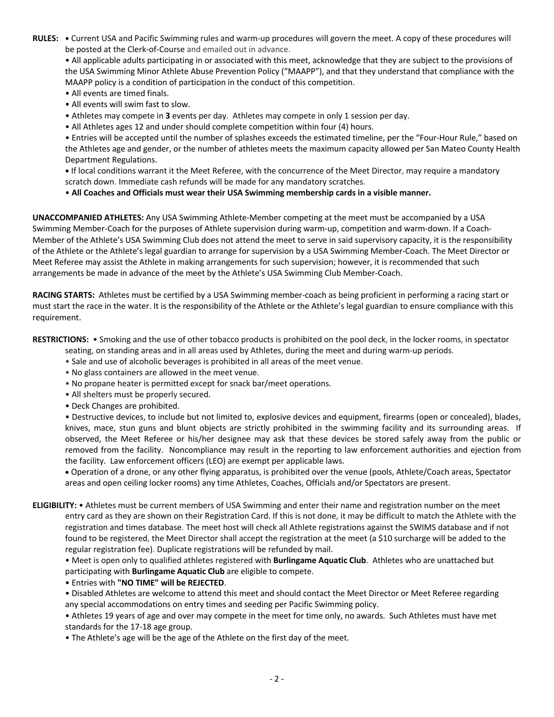**RULES: •** Current USA and Pacific Swimming rules and warm-up procedures will govern the meet. A copy of these procedures will be posted at the Clerk-of-Course and emailed out in advance.

• All applicable adults participating in or associated with this meet, acknowledge that they are subject to the provisions of the USA Swimming Minor Athlete Abuse Prevention Policy ("MAAPP"), and that they understand that compliance with the MAAPP policy is a condition of participation in the conduct of this competition.

- All events are timed finals.
- All events will swim fast to slow.
- Athletes may compete in **3** events per day. Athletes may compete in only 1 session per day.
- All Athletes ages 12 and under should complete competition within four (4) hours.

• Entries will be accepted until the number of splashes exceeds the estimated timeline, per the "Four-Hour Rule," based on the Athletes age and gender, or the number of athletes meets the maximum capacity allowed per San Mateo County Health Department Regulations.

**•** If local conditions warrant it the Meet Referee, with the concurrence of the Meet Director, may require a mandatory scratch down. Immediate cash refunds will be made for any mandatory scratches.

• **All Coaches and Officials must wear their USA Swimming membership cards in a visible manner.** 

**UNACCOMPANIED ATHLETES:** Any USA Swimming Athlete-Member competing at the meet must be accompanied by a USA Swimming Member-Coach for the purposes of Athlete supervision during warm-up, competition and warm-down. If a Coach-Member of the Athlete's USA Swimming Club does not attend the meet to serve in said supervisory capacity, it is the responsibility of the Athlete or the Athlete's legal guardian to arrange for supervision by a USA Swimming Member-Coach. The Meet Director or Meet Referee may assist the Athlete in making arrangements for such supervision; however, it is recommended that such arrangements be made in advance of the meet by the Athlete's USA Swimming Club Member-Coach.

**RACING STARTS:** Athletes must be certified by a USA Swimming member-coach as being proficient in performing a racing start or must start the race in the water. It is the responsibility of the Athlete or the Athlete's legal guardian to ensure compliance with this requirement.

**RESTRICTIONS:** • Smoking and the use of other tobacco products is prohibited on the pool deck, in the locker rooms, in spectator

seating, on standing areas and in all areas used by Athletes, during the meet and during warm-up periods.

- Sale and use of alcoholic beverages is prohibited in all areas of the meet venue.
- No glass containers are allowed in the meet venue.
- No propane heater is permitted except for snack bar/meet operations.
- All shelters must be properly secured.
- Deck Changes are prohibited.

• Destructive devices, to include but not limited to, explosive devices and equipment, firearms (open or concealed), blades, knives, mace, stun guns and blunt objects are strictly prohibited in the swimming facility and its surrounding areas. If observed, the Meet Referee or his/her designee may ask that these devices be stored safely away from the public or removed from the facility. Noncompliance may result in the reporting to law enforcement authorities and ejection from the facility. Law enforcement officers (LEO) are exempt per applicable laws.

• Operation of a drone, or any other flying apparatus, is prohibited over the venue (pools, Athlete/Coach areas, Spectator areas and open ceiling locker rooms) any time Athletes, Coaches, Officials and/or Spectators are present.

**ELIGIBILITY:** • Athletes must be current members of USA Swimming and enter their name and registration number on the meet entry card as they are shown on their Registration Card. If this is not done, it may be difficult to match the Athlete with the registration and times database. The meet host will check all Athlete registrations against the SWIMS database and if not found to be registered, the Meet Director shall accept the registration at the meet (a \$10 surcharge will be added to the regular registration fee). Duplicate registrations will be refunded by mail.

• Meet is open only to qualified athletes registered with **Burlingame Aquatic Club**. Athletes who are unattached but participating with **Burlingame Aquatic Club** are eligible to compete.

• Entries with **"NO TIME" will be REJECTED**.

• Disabled Athletes are welcome to attend this meet and should contact the Meet Director or Meet Referee regarding any special accommodations on entry times and seeding per Pacific Swimming policy.

• Athletes 19 years of age and over may compete in the meet for time only, no awards. Such Athletes must have met standards for the 17-18 age group.

• The Athlete's age will be the age of the Athlete on the first day of the meet.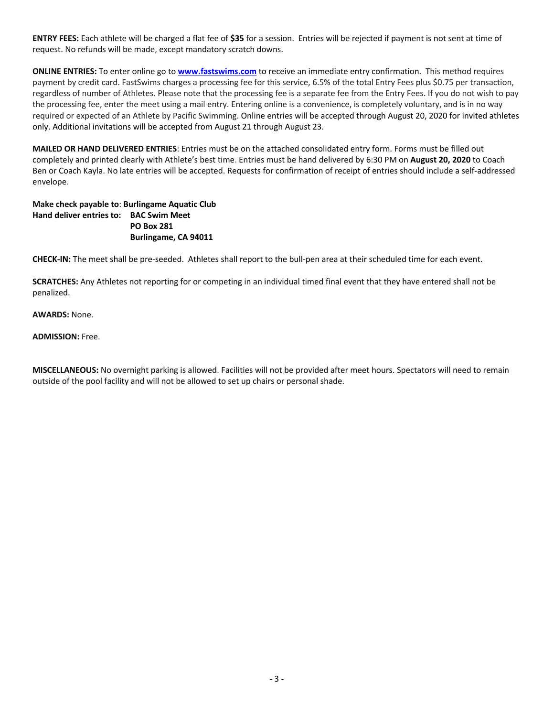**ENTRY FEES:** Each athlete will be charged a flat fee of **\$35** for a session. Entries will be rejected if payment is not sent at time of request. No refunds will be made, except mandatory scratch downs.

**ONLINE ENTRIES:** To enter online go to **www.fastswims.com** to receive an immediate entry confirmation. This method requires payment by credit card. FastSwims charges a processing fee for this service, 6.5% of the total Entry Fees plus \$0.75 per transaction, regardless of number of Athletes. Please note that the processing fee is a separate fee from the Entry Fees. If you do not wish to pay the processing fee, enter the meet using a mail entry. Entering online is a convenience, is completely voluntary, and is in no way required or expected of an Athlete by Pacific Swimming. Online entries will be accepted through August 20, 2020 for invited athletes only. Additional invitations will be accepted from August 21 through August 23.

**MAILED OR HAND DELIVERED ENTRIES**: Entries must be on the attached consolidated entry form. Forms must be filled out completely and printed clearly with Athlete's best time. Entries must be hand delivered by 6:30 PM on **August 20, 2020** to Coach Ben or Coach Kayla. No late entries will be accepted. Requests for confirmation of receipt of entries should include a self-addressed envelope.

## **Make check payable to**: **Burlingame Aquatic Club Hand deliver entries to: BAC Swim Meet PO Box 281 Burlingame, CA 94011**

**CHECK-IN:** The meet shall be pre-seeded. Athletes shall report to the bull-pen area at their scheduled time for each event.

**SCRATCHES:** Any Athletes not reporting for or competing in an individual timed final event that they have entered shall not be penalized.

### **AWARDS:** None.

#### **ADMISSION:** Free.

**MISCELLANEOUS:** No overnight parking is allowed. Facilities will not be provided after meet hours. Spectators will need to remain outside of the pool facility and will not be allowed to set up chairs or personal shade.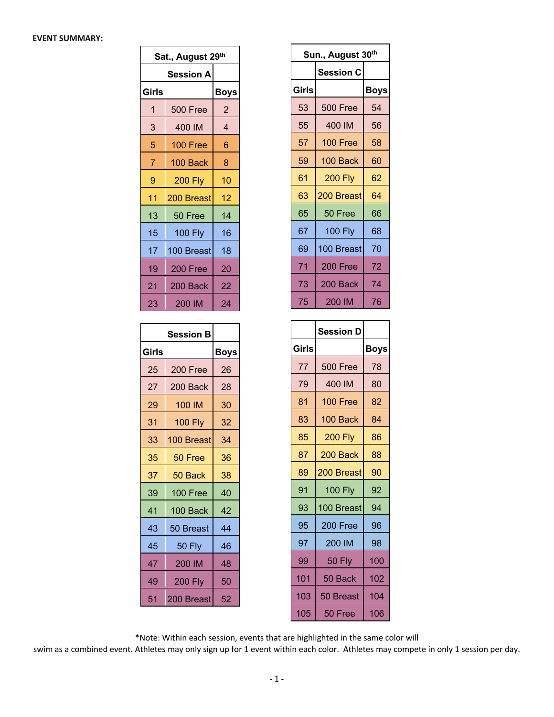#### **EVENT SUMMARY:**

| Sat., August 29th |                  |      |  |  |  |  |  |
|-------------------|------------------|------|--|--|--|--|--|
|                   | <b>Session A</b> |      |  |  |  |  |  |
| Girls             |                  | Boys |  |  |  |  |  |
| 1                 | 500 Free         | 2    |  |  |  |  |  |
| 3                 | 400 IM           | 4    |  |  |  |  |  |
| 5                 | 100 Free         | 6    |  |  |  |  |  |
| 7                 | 100 Back         | 8    |  |  |  |  |  |
| 9                 | <b>200 Fly</b>   | 10   |  |  |  |  |  |
| 11                | 200 Breast       | 12   |  |  |  |  |  |
| 13                | 50 Free          | 14   |  |  |  |  |  |
| 15                | <b>100 Fly</b>   | 16   |  |  |  |  |  |
| 17                | 100 Breast       | 18   |  |  |  |  |  |
| 19                | 200 Free         | 20   |  |  |  |  |  |
| 21                | 200 Back         | 22   |  |  |  |  |  |
| 23                | 200 IM           | 24   |  |  |  |  |  |

|       | <b>Session B</b> |      |
|-------|------------------|------|
| Girls |                  | Boys |
| 25    | 200 Free         | 26   |
| 27    | 200 Back         | 28   |
| 29    | 100 IM           | 30   |
| 31    | <b>100 Fly</b>   | 32   |
| 33    | 100 Breast       | 34   |
| 35    | 50 Free          | 36   |
| 37    | 50 Back          | 38   |
| 39    | 100 Free         | 40   |
| 41    | 100 Back         | 42   |
| 43    | 50 Breast        | 44   |
| 45    | <b>50 Fly</b>    | 46   |
| 47    | 200 IM           | 48   |
| 49    | <b>200 Fly</b>   | 50   |
| 51    | 200 Breast       | 52   |

| Sun., August 30 <sup>th</sup> |                  |             |  |  |  |  |
|-------------------------------|------------------|-------------|--|--|--|--|
|                               | <b>Session C</b> |             |  |  |  |  |
| <b>Girls</b>                  |                  | <b>Boys</b> |  |  |  |  |
| 53                            | <b>500 Free</b>  | 54          |  |  |  |  |
| 55                            | 400 IM           | 56          |  |  |  |  |
| 57                            | 100 Free         | 58          |  |  |  |  |
| 59                            | 100 Back         | 60          |  |  |  |  |
| 61                            | <b>200 Fly</b>   | 62          |  |  |  |  |
| 63                            | 200 Breast       | 64          |  |  |  |  |
| 65                            | 50 Free          | 66          |  |  |  |  |
| 67                            | <b>100 Fly</b>   | 68          |  |  |  |  |
| 69                            | 100 Breast       | 70          |  |  |  |  |
| 71                            | 200 Free         | 72          |  |  |  |  |
| 73                            | 200 Back         | 74          |  |  |  |  |
| 75                            | 200 IM           | 76          |  |  |  |  |

|       | <b>Session D</b> |             |
|-------|------------------|-------------|
| Girls |                  | <b>Boys</b> |
| 77    | 500 Free         | 78          |
| 79    | 400 IM           | 80          |
| 81    | 100 Free         | 82          |
| 83    | 100 Back         | 84          |
| 85    | <b>200 Fly</b>   | 86          |
| 87    | 200 Back         | 88          |
| 89    | 200 Breast       | 90          |
| 91    | <b>100 Fly</b>   | 92          |
| 93    | 100 Breast       | 94          |
| 95    | 200 Free         | 96          |
| 97    | 200 IM           | 98          |
| 99    | <b>50 Fly</b>    | 100         |
| 101   | 50 Back          | 102         |
| 103   | 50 Breast        | 104         |
| 105   | 50 Free          | 106         |

\*Note: Within each session, events that are highlighted in the same color will

 $\mathbf{r}$ 

swim as a combined event. Athletes may only sign up for 1 event within each color. Athletes may compete in only 1 session per day.